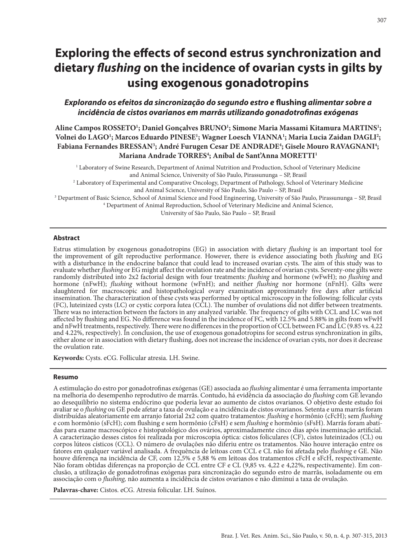# **Exploring the effects of second estrus synchronization and dietary** *flushing* **on the incidence of ovarian cysts in gilts by using exogenous gonadotropins**

# *Explorando os efeitos da sincronização do segundo estro e* **flushing** *alimentar sobre a incidência de cistos ovarianos em marrãs utilizando gonadotrofinas exógenas*

**Aline Campos ROSSETO1 ; Daniel Gonçalves BRUNO1 ; Simone Maria Massami Kitamura MARTINS1 ; Volnei do LAGO1 ; Marcos Eduardo PINESE1 ; Wagner Loesch VIANNA1 ; Maria Lucia Zaidan DAGLI2 ;**  Fabiana Fernandes BRESSAN<sup>3</sup>; André Furugen Cesar DE ANDRADE<sup>4</sup>; Gisele Mouro RAVAGNANI<sup>4</sup>; **Mariana Andrade TORRES4 ; Aníbal de Sant'Anna MORETTI1**

1 Laboratory of Swine Research, Department of Animal Nutrition and Production, School of Veterinary Medicine and Animal Science, University of São Paulo, Pirassununga – SP, Brasil 2 Laboratory of Experimental and Comparative Oncology, Department of Pathology, School of Veterinary Medicine

and Animal Science, University of São Paulo, São Paulo – SP, Brasil

3 Department of Basic Science, School of Animal Science and Food Engineering, University of São Paulo, Pirassununga – SP, Brasil 4 Department of Animal Reproduction, School of Veterinary Medicine and Animal Science,

University of São Paulo, São Paulo – SP, Brasil

#### **Abstract**

Estrus stimulation by exogenous gonadotropins (EG) in association with dietary *flushing* is an important tool for the improvement of gilt reproductive performance. However, there is evidence associating both *flushing* and EG with a disturbance in the endocrine balance that could lead to increased ovarian cysts. The aim of this study was to evaluate whether *flushing* or EG might affect the ovulation rate and the incidence of ovarian cysts. Seventy-one gilts were randomly distributed into 2x2 factorial design with four treatments: *flushing* and hormone (wFwH); no *flushing* and hormone (nFwH); *flushing* without hormone (wFnH); and neither *flushing* nor hormone (nFnH). Gilts were slaughtered for macroscopic and histopathological ovary examination approximately five days after artificial insemination. The characterization of these cysts was performed by optical microscopy in the following: follicular cysts (FC), luteinized cysts (LC) or cystic corpora lutea (CCL). The number of ovulations did not differ between treatments. There was no interaction between the factors in any analyzed variable. The frequency of gilts with CCL and LC was not affected by flushing and EG. No difference was found in the incidence of FC, with 12.5% and 5.88% in gilts from wFwH and nFwH treatments, respectively. There were no differences in the proportion of CCL between FC and LC (9.85 vs. 4.22 and 4.22%, respectively). In conclusion, the use of exogenous gonadotropins for second estrus synchronization in gilts, either alone or in association with dietary flushing, does not increase the incidence of ovarian cysts, nor does it decrease the ovulation rate.

**Keywords:** Cysts. eCG. Follicular atresia. LH. Swine.

#### **Resumo**

A estimulação do estro por gonadotrofinas exógenas (GE) associada ao *flushing* alimentar é uma ferramenta importante na melhoria do desempenho reprodutivo de marrãs. Contudo, há evidência da associação do *flushing* com GE levando ao desequilíbrio no sistema endócrino que poderia levar ao aumento de cistos ovarianos. O objetivo deste estudo foi avaliar se o *flushing* ou GE pode afetar a taxa de ovulação e a incidência de cistos ovarianos. Setenta e uma marrãs foram distribuídas aleatoriamente em arranjo fatorial 2x2 com quatro tratamentos: *flushing* e hormônio (cFcH); sem *flushing* e com hormônio (sFcH); com flushing e sem hormônio (cFsH) e sem *flushing* e hormônio (sFsH). Marrãs foram abatidas para exame macroscópico e histopatológico dos ovários, aproximadamente cinco dias após inseminação artificial. A caracterização desses cistos foi realizada por microscopia óptica: cistos foliculares (CF), cistos luteinizados (CL) ou corpos lúteos císticos (CCL). O número de ovulações não diferiu entre os tratamentos. Não houve interação entre os fatores em qualquer variável analisada. A frequência de leitoas com CCL e CL não foi afetada pelo *flushing* e GE. Não houve diferença na incidência de CF, com 12,5% e 5,88 % em leitoas dos tratamentos cFcH e sFcH, respectivamente. Não foram obtidas diferenças na proporção de CCL entre CF e CL (9,85 vs. 4,22 e 4,22%, respectivamente). Em conclusão, a utilização de gonadotrofinas exógenas para sincronização do segundo estro de marrãs, isoladamente ou em associação com o *flushing,* não aumenta a incidência de cistos ovarianos e não diminui a taxa de ovulação.

**Palavras-chave:** Cistos. eCG. Atresia folicular. LH. Suínos.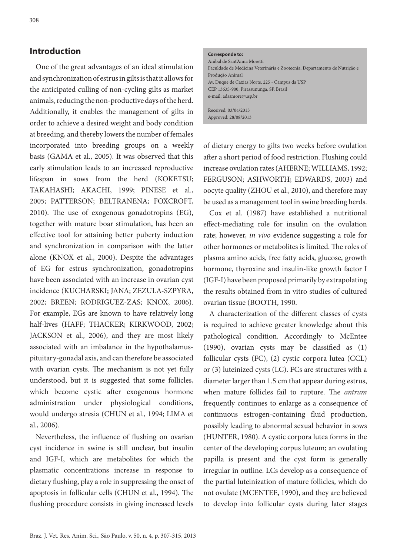## **Introduction**

One of the great advantages of an ideal stimulation and synchronization of estrus in gilts is that it allows for the anticipated culling of non-cycling gilts as market animals, reducing the non-productive days of the herd. Additionally, it enables the management of gilts in order to achieve a desired weight and body condition at breeding, and thereby lowers the number of females incorporated into breeding groups on a weekly basis (GAMA et al., 2005). It was observed that this early stimulation leads to an increased reproductive lifespan in sows from the herd (KOKETSU; TAKAHASHI; AKACHI, 1999; PINESE et al., 2005; PATTERSON; BELTRANENA; FOXCROFT, 2010). The use of exogenous gonadotropins (EG), together with mature boar stimulation, has been an effective tool for attaining better puberty induction and synchronization in comparison with the latter alone (KNOX et al., 2000). Despite the advantages of EG for estrus synchronization, gonadotropins have been associated with an increase in ovarian cyst incidence (KUCHARSKI; JANA; ZEZULA-SZPYRA, 2002; BREEN; RODRIGUEZ-ZAS; KNOX, 2006). For example, EGs are known to have relatively long half-lives (HAFF; THACKER; KIRKWOOD, 2002; JACKSON et al., 2006), and they are most likely associated with an imbalance in the hypothalamuspituitary-gonadal axis, and can therefore be associated with ovarian cysts. The mechanism is not yet fully understood, but it is suggested that some follicles, which become cystic after exogenous hormone administration under physiological conditions, would undergo atresia (CHUN et al., 1994; LIMA et al., 2006).

Nevertheless, the influence of flushing on ovarian cyst incidence in swine is still unclear, but insulin and IGF-I, which are metabolites for which the plasmatic concentrations increase in response to dietary flushing, play a role in suppressing the onset of apoptosis in follicular cells (CHUN et al., 1994). The flushing procedure consists in giving increased levels

#### **Corresponde to:**

Anibal de Sant'Anna Moretti Faculdade de Medicina Veterinária e Zootecnia, Departamento de Nutrição e Produção Animal Av. Duque de Caxias Norte, 225 - Campus da USP CEP 13635-900, Pirassununga, SP, Brasil e-mail: adsamore@usp.br

Received: 03/04/2013 Approved: 28/08/2013

of dietary energy to gilts two weeks before ovulation after a short period of food restriction. Flushing could increase ovulation rates (AHERNE; WILLIAMS, 1992; FERGUSON; ASHWORTH; EDWARDS, 2003) and oocyte quality (ZHOU et al., 2010), and therefore may be used as a management tool in swine breeding herds.

Cox et al. (1987) have established a nutritional effect-mediating role for insulin on the ovulation rate; however, *in vivo* evidence suggesting a role for other hormones or metabolites is limited. The roles of plasma amino acids, free fatty acids, glucose, growth hormone, thyroxine and insulin-like growth factor I (IGF-I) have been proposed primarily by extrapolating the results obtained from in vitro studies of cultured ovarian tissue (BOOTH, 1990.

A characterization of the different classes of cysts is required to achieve greater knowledge about this pathological condition. Accordingly to McEntee (1990), ovarian cysts may be classified as (1) follicular cysts (FC), (2) cystic corpora lutea (CCL) or (3) luteinized cysts (LC). FCs are structures with a diameter larger than 1.5 cm that appear during estrus, when mature follicles fail to rupture. The *antrum*  frequently continues to enlarge as a consequence of continuous estrogen-containing fluid production, possibly leading to abnormal sexual behavior in sows (HUNTER, 1980). A cystic corpora lutea forms in the center of the developing corpus luteum; an ovulating papilla is present and the cyst form is generally irregular in outline. LCs develop as a consequence of the partial luteinization of mature follicles, which do not ovulate (MCENTEE, 1990), and they are believed to develop into follicular cysts during later stages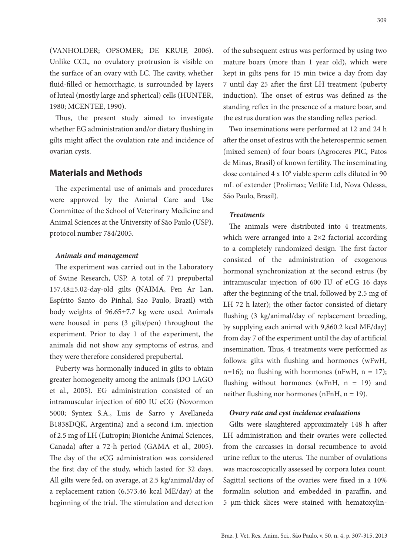(VANHOLDER; OPSOMER; DE KRUIF, 2006). Unlike CCL, no ovulatory protrusion is visible on the surface of an ovary with LC. The cavity, whether fluid-filled or hemorrhagic, is surrounded by layers of luteal (mostly large and spherical) cells (HUNTER, 1980; MCENTEE, 1990).

Thus, the present study aimed to investigate whether EG administration and/or dietary flushing in gilts might affect the ovulation rate and incidence of ovarian cysts.

# **Materials and Methods**

The experimental use of animals and procedures were approved by the Animal Care and Use Committee of the School of Veterinary Medicine and Animal Sciences at the University of São Paulo (USP), protocol number 784/2005.

## *Animals and management*

The experiment was carried out in the Laboratory of Swine Research, USP. A total of 71 prepubertal 157.48±5.02-day-old gilts (NAIMA, Pen Ar Lan, Espírito Santo do Pinhal, Sao Paulo, Brazil) with body weights of 96.65±7.7 kg were used. Animals were housed in pens (3 gilts/pen) throughout the experiment. Prior to day 1 of the experiment, the animals did not show any symptoms of estrus, and they were therefore considered prepubertal.

Puberty was hormonally induced in gilts to obtain greater homogeneity among the animals (DO LAGO et al., 2005). EG administration consisted of an intramuscular injection of 600 IU eCG (Novormon 5000; Syntex S.A., Luis de Sarro y Avellaneda B1838DQK, Argentina) and a second i.m. injection of 2.5 mg of LH (Lutropin; Bioniche Animal Sciences, Canada) after a 72-h period (GAMA et al., 2005). The day of the eCG administration was considered the first day of the study, which lasted for 32 days. All gilts were fed, on average, at 2.5 kg/animal/day of a replacement ration (6,573.46 kcal ME/day) at the beginning of the trial. The stimulation and detection

of the subsequent estrus was performed by using two mature boars (more than 1 year old), which were kept in gilts pens for 15 min twice a day from day 7 until day 25 after the first LH treatment (puberty induction). The onset of estrus was defined as the standing reflex in the presence of a mature boar, and the estrus duration was the standing reflex period.

Two inseminations were performed at 12 and 24 h after the onset of estrus with the heterospermic semen (mixed semen) of four boars (Agroceres PIC, Patos de Minas, Brasil) of known fertility. The inseminating dose contained  $4 \times 10^9$  viable sperm cells diluted in 90 mL of extender (Prolimax; Vetlife Ltd, Nova Odessa, São Paulo, Brasil).

## *Treatments*

The animals were distributed into 4 treatments, which were arranged into a 2×2 factorial according to a completely randomized design. The first factor consisted of the administration of exogenous hormonal synchronization at the second estrus (by intramuscular injection of 600 IU of eCG 16 days after the beginning of the trial, followed by 2.5 mg of LH 72 h later); the other factor consisted of dietary flushing (3 kg/animal/day of replacement breeding, by supplying each animal with 9,860.2 kcal ME/day) from day 7 of the experiment until the day of artificial insemination. Thus, 4 treatments were performed as follows: gilts with flushing and hormones (wFwH,  $n=16$ ; no flushing with hormones (nFwH,  $n = 17$ ); flushing without hormones (wFnH,  $n = 19$ ) and neither flushing nor hormones (nFnH, n = 19).

#### *Ovary rate and cyst incidence evaluations*

Gilts were slaughtered approximately 148 h after LH administration and their ovaries were collected from the carcasses in dorsal recumbence to avoid urine reflux to the uterus. The number of ovulations was macroscopically assessed by corpora lutea count. Sagittal sections of the ovaries were fixed in a 10% formalin solution and embedded in paraffin, and 5 μm-thick slices were stained with hematoxylin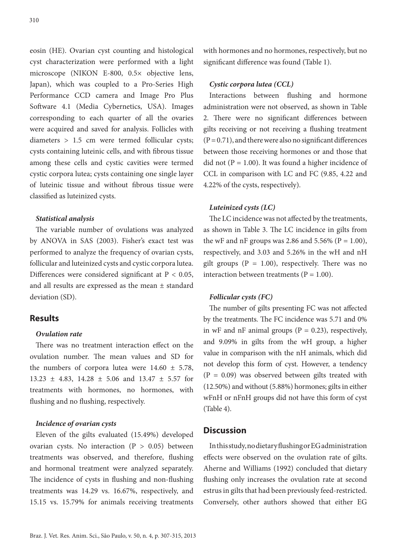eosin (HE). Ovarian cyst counting and histological cyst characterization were performed with a light microscope (NIKON E-800, 0.5× objective lens, Japan), which was coupled to a Pro-Series High Performance CCD camera and Image Pro Plus Software 4.1 (Media Cybernetics, USA). Images corresponding to each quarter of all the ovaries were acquired and saved for analysis. Follicles with diameters > 1.5 cm were termed follicular cysts; cysts containing luteinic cells, and with fibrous tissue among these cells and cystic cavities were termed cystic corpora lutea; cysts containing one single layer of luteinic tissue and without fibrous tissue were classified as luteinized cysts.

#### *Statistical analysis*

The variable number of ovulations was analyzed by ANOVA in SAS (2003). Fisher's exact test was performed to analyze the frequency of ovarian cysts, follicular and luteinized cysts and cystic corpora lutea. Differences were considered significant at P < 0.05, and all results are expressed as the mean ± standard deviation (SD).

# **Results**

## *Ovulation rate*

There was no treatment interaction effect on the ovulation number. The mean values and SD for the numbers of corpora lutea were  $14.60 \pm 5.78$ , 13.23 ± 4.83, 14.28 ± 5.06 and 13.47 ± 5.57 for treatments with hormones, no hormones, with flushing and no flushing, respectively.

#### *Incidence of ovarian cysts*

Eleven of the gilts evaluated (15.49%) developed ovarian cysts. No interaction  $(P > 0.05)$  between treatments was observed, and therefore, flushing and hormonal treatment were analyzed separately. The incidence of cysts in flushing and non-flushing treatments was 14.29 vs. 16.67%, respectively, and 15.15 vs. 15.79% for animals receiving treatments

with hormones and no hormones, respectively, but no significant difference was found (Table 1).

## *Cystic corpora lutea (CCL)*

Interactions between flushing and hormone administration were not observed, as shown in Table 2. There were no significant differences between gilts receiving or not receiving a flushing treatment  $(P = 0.71)$ , and there were also no significant differences between those receiving hormones or and those that did not ( $P = 1.00$ ). It was found a higher incidence of CCL in comparison with LC and FC (9.85, 4.22 and 4.22% of the cysts, respectively).

## *Luteinized cysts (LC)*

The LC incidence was not affected by the treatments, as shown in Table 3. The LC incidence in gilts from the wF and nF groups was 2.86 and 5.56% ( $P = 1.00$ ), respectively, and 3.03 and 5.26% in the wH and nH gilt groups ( $P = 1.00$ ), respectively. There was no interaction between treatments ( $P = 1.00$ ).

## *Follicular cysts (FC)*

The number of gilts presenting FC was not affected by the treatments. The FC incidence was 5.71 and 0% in wF and nF animal groups ( $P = 0.23$ ), respectively, and 9.09% in gilts from the wH group, a higher value in comparison with the nH animals, which did not develop this form of cyst. However, a tendency  $(P = 0.09)$  was observed between gilts treated with (12.50%) and without (5.88%) hormones; gilts in either wFnH or nFnH groups did not have this form of cyst (Table 4).

## **Discussion**

In this study, no dietary flushing or EG administration effects were observed on the ovulation rate of gilts. Aherne and Williams (1992) concluded that dietary flushing only increases the ovulation rate at second estrus in gilts that had been previously feed-restricted. Conversely, other authors showed that either EG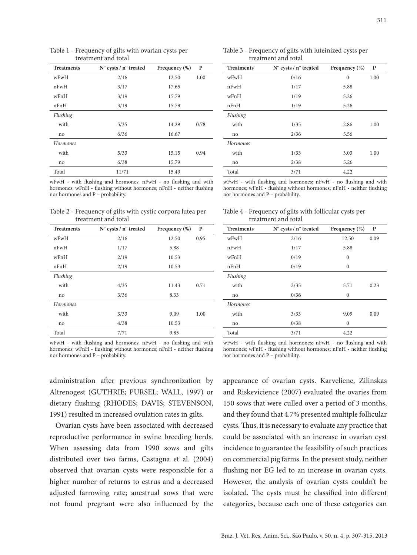| <b>Treatments</b> | $N^{\circ}$ cysts / n° treated | Frequency $(\%)$ | P    |
|-------------------|--------------------------------|------------------|------|
| wFwH              | 2/16                           | 12.50            | 1.00 |
| nFwH              | 3/17                           | 17.65            |      |
| wFnH              | 3/19                           | 15.79            |      |
| nFnH              | 3/19                           | 15.79            |      |
| Flushing          |                                |                  |      |
| with              | 5/35                           | 14.29            | 0.78 |
| no                | 6/36                           | 16.67            |      |
| Hormones          |                                |                  |      |
| with              | 5/33                           | 15.15            | 0.94 |
| no                | 6/38                           | 15.79            |      |
| Total             | 11/71                          | 15.49            |      |

#### Table 1 - Frequency of gilts with ovarian cysts per treatment and total

wFwH - with flushing and hormones; nFwH - no flushing and with hormones; wFnH - flushing without hormones; nFnH - neither flushing nor hormones and P – probability.

Table 2 - Frequency of gilts with cystic corpora lutea per treatment and total

| <b>Treatments</b> | $N^{\circ}$ cysts / n° treated | Frequency $(\%)$ | P    |
|-------------------|--------------------------------|------------------|------|
| wFwH              | 2/16                           | 12.50            | 0.95 |
| nFwH              | 1/17                           | 5.88             |      |
| wFnH              | 2/19                           | 10.53            |      |
| nFnH              | 2/19                           | 10.53            |      |
| Flushing          |                                |                  |      |
| with              | 4/35                           | 11.43            | 0.71 |
| no                | 3/36                           | 8.33             |      |
| Hormones          |                                |                  |      |
| with              | 3/33                           | 9.09             | 1.00 |
| no                | 4/38                           | 10.53            |      |
| Total             | 7/71                           | 9.85             |      |

wFwH - with flushing and hormones; nFwH - no flushing and with hormones; wFnH - flushing without hormones; nFnH - neither flushing nor hormones and P – probability.

| wFwH - with flushing and hormones; nFwH - no flushing and with      |  |  |
|---------------------------------------------------------------------|--|--|
| hormones; wFnH - flushing without hormones; nFnH - neither flushing |  |  |
| nor hormones and P – probability.                                   |  |  |

administration after previous synchronization by Altrenogest (GUTHRIE; PURSEL; WALL, 1997) or dietary flushing (RHODES; DAVIS; STEVENSON, 1991) resulted in increased ovulation rates in gilts.

Ovarian cysts have been associated with decreased reproductive performance in swine breeding herds. When assessing data from 1990 sows and gilts distributed over two farms, Castagna et al. (2004) observed that ovarian cysts were responsible for a higher number of returns to estrus and a decreased adjusted farrowing rate; anestrual sows that were not found pregnant were also influenced by the

appearance of ovarian cysts. Karveliene, Zilinskas and Riskevicience (2007) evaluated the ovaries from 150 sows that were culled over a period of 3 months, and they found that 4.7% presented multiple follicular cysts. Thus, it is necessary to evaluate any practice that could be associated with an increase in ovarian cyst incidence to guarantee the feasibility of such practices on commercial pig farms. In the present study, neither flushing nor EG led to an increase in ovarian cysts. However, the analysis of ovarian cysts couldn't be isolated. The cysts must be classified into different categories, because each one of these categories can

| Table 3 - Frequency of gilts with luteinized cysts per<br>treatment and total |                                |                  |      |
|-------------------------------------------------------------------------------|--------------------------------|------------------|------|
| <b>Treatments</b>                                                             | $N^{\circ}$ cysts / n° treated | Frequency $(\%)$ |      |
| wFwH                                                                          | 0/16                           |                  | 1.00 |
| nFwH                                                                          | 1/17                           | 5.88             |      |

| wFwH     | 0/16 | $\mathbf{0}$ | 1.00 |
|----------|------|--------------|------|
| nFwH     | 1/17 | 5.88         |      |
| wFnH     | 1/19 | 5.26         |      |
| nFnH     | 1/19 | 5.26         |      |
| Flushing |      |              |      |
| with     | 1/35 | 2.86         | 1.00 |
| no       | 2/36 | 5.56         |      |
| Hormones |      |              |      |
| with     | 1/33 | 3.03         | 1.00 |
| no       | 2/38 | 5.26         |      |
| Total    | 3/71 | 4.22         |      |

wFwH - with flushing and hormones; nFwH - no flushing and with hormones; wFnH - flushing without hormones; nFnH - neither flushing nor hormones and P – probability.

| Table 4 - Frequency of gilts with follicular cysts per |  |  |
|--------------------------------------------------------|--|--|
| treatment and total                                    |  |  |

nFwH  $1/17$  5.88 wFnH 0/19 0 nFnH 0/19 0

no 0/36 0

 no 0/38 0 Total 3/71 4.22

*Flushing*

*Hormones*

**Treatments N° cysts / n° treated Frequency (%) P** wFwH 2/16 12.50 0.09

with 2/35 5.71 0.23

with  $3/33$  9.09 0.09

| m.                |  |
|-------------------|--|
| I<br>۰,<br>$\sim$ |  |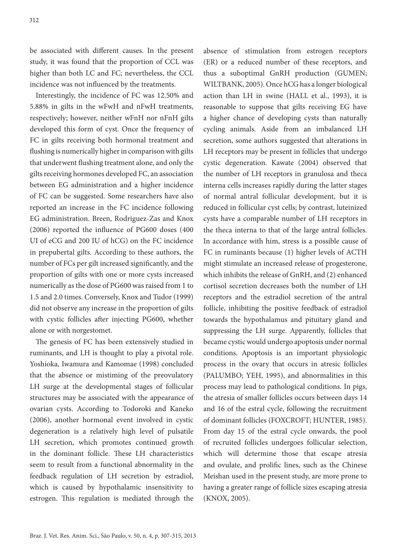be associated with different causes. In the present study, it was found that the proportion of CCL was higher than both LC and FC; nevertheless, the CCL incidence was not influenced by the treatments.

Interestingly, the incidence of FC was 12.50% and 5.88% in gilts in the wFwH and nFwH treatments, respectively; however, neither wFnH nor nFnH gilts developed this form of cyst. Once the frequency of FC in gilts receiving both hormonal treatment and flushing is numerically higher in comparison with gilts that underwent flushing treatment alone, and only the gilts receiving hormones developed FC, an association between EG administration and a higher incidence of FC can be suggested. Some researchers have also reported an increase in the FC incidence following EG administration. Breen, Rodriguez-Zas and Knox (2006) reported the influence of PG600 doses (400 UI of eCG and 200 IU of hCG) on the FC incidence in prepubertal gilts. According to these authors, the number of FCs per gilt increased significantly, and the proportion of gilts with one or more cysts increased numerically as the dose of PG600 was raised from 1 to 1.5 and 2.0 times. Conversely, Knox and Tudor (1999) did not observe any increase in the proportion of gilts with cystic follicles after injecting PG600, whether alone or with norgestomet.

The genesis of FC has been extensively studied in ruminants, and LH is thought to play a pivotal role. Yoshioka, Iwamura and Kamomae (1998) concluded that the absence or mistiming of the preovulatory LH surge at the developmental stages of follicular structures may be associated with the appearance of ovarian cysts. According to Todoroki and Kaneko (2006), another hormonal event involved in cystic degeneration is a relatively high level of pulsatile LH secretion, which promotes continued growth in the dominant follicle. These LH characteristics seem to result from a functional abnormality in the feedback regulation of LH secretion by estradiol, which is caused by hypothalamic insensitivity to estrogen. This regulation is mediated through the

absence of stimulation from estrogen receptors (ER) or a reduced number of these receptors, and thus a suboptimal GnRH production (GUMEN; WILTBANK, 2005). Once hCG has a longer biological action than LH in swine (HALL et al., 1993), it is reasonable to suppose that gilts receiving EG have a higher chance of developing cysts than naturally cycling animals. Aside from an imbalanced LH secretion, some authors suggested that alterations in LH receptors may be present in follicles that undergo cystic degeneration. Kawate (2004) observed that the number of LH receptors in granulosa and theca interna cells increases rapidly during the latter stages of normal antral follicular development, but it is reduced in follicular cyst cells; by contrast, luteinized cysts have a comparable number of LH receptors in the theca interna to that of the large antral follicles. In accordance with him, stress is a possible cause of FC in ruminants because (1) higher levels of ACTH might stimulate an increased release of progesterone, which inhibits the release of GnRH, and (2) enhanced cortisol secretion decreases both the number of LH receptors and the estradiol secretion of the antral follicle, inhibiting the positive feedback of estradiol towards the hypothalamus and pituitary gland and suppressing the LH surge. Apparently, follicles that became cystic would undergo apoptosis under normal conditions. Apoptosis is an important physiologic process in the ovary that occurs in atresic follicles (PALUMBO; YEH, 1995), and abnormalities in this process may lead to pathological conditions. In pigs, the atresia of smaller follicles occurs between days 14 and 16 of the estral cycle, following the recruitment of dominant follicles (FOXCROFT; HUNTER, 1985). From day 15 of the estral cycle onwards, the pool of recruited follicles undergoes follicular selection, which will determine those that escape atresia and ovulate, and prolific lines, such as the Chinese Meishan used in the present study, are more prone to having a greater range of follicle sizes escaping atresia (KNOX, 2005).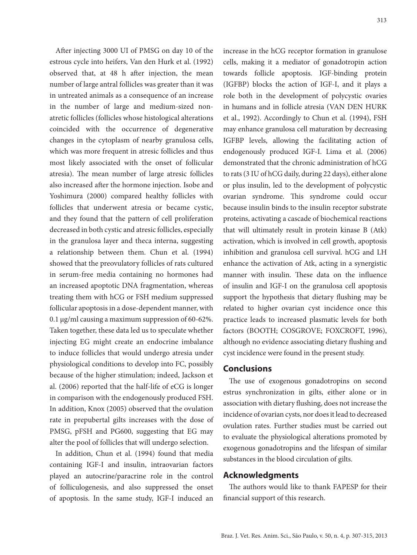After injecting 3000 UI of PMSG on day 10 of the estrous cycle into heifers, Van den Hurk et al. (1992) observed that, at 48 h after injection, the mean number of large antral follicles was greater than it was in untreated animals as a consequence of an increase in the number of large and medium-sized nonatretic follicles (follicles whose histological alterations coincided with the occurrence of degenerative changes in the cytoplasm of nearby granulosa cells, which was more frequent in atresic follicles and thus most likely associated with the onset of follicular atresia). The mean number of large atresic follicles also increased after the hormone injection. Isobe and Yoshimura (2000) compared healthy follicles with follicles that underwent atresia or became cystic, and they found that the pattern of cell proliferation decreased in both cystic and atresic follicles, especially in the granulosa layer and theca interna, suggesting a relationship between them. Chun et al. (1994) showed that the preovulatory follicles of rats cultured in serum-free media containing no hormones had an increased apoptotic DNA fragmentation, whereas treating them with hCG or FSH medium suppressed follicular apoptosis in a dose-dependent manner, with 0.1 μg/ml causing a maximum suppression of 60-62%. Taken together, these data led us to speculate whether injecting EG might create an endocrine imbalance to induce follicles that would undergo atresia under physiological conditions to develop into FC, possibly because of the higher stimulation; indeed, Jackson et al. (2006) reported that the half-life of eCG is longer in comparison with the endogenously produced FSH. In addition, Knox (2005) observed that the ovulation rate in prepubertal gilts increases with the dose of PMSG, pFSH and PG600, suggesting that EG may alter the pool of follicles that will undergo selection.

In addition, Chun et al. (1994) found that media containing IGF-I and insulin, intraovarian factors played an autocrine/paracrine role in the control of folliculogenesis, and also suppressed the onset of apoptosis. In the same study, IGF-I induced an increase in the hCG receptor formation in granulose cells, making it a mediator of gonadotropin action towards follicle apoptosis. IGF-binding protein (IGFBP) blocks the action of IGF-I, and it plays a role both in the development of polycystic ovaries in humans and in follicle atresia (VAN DEN HURK et al., 1992). Accordingly to Chun et al. (1994), FSH may enhance granulosa cell maturation by decreasing IGFBP levels, allowing the facilitating action of endogenously produced IGF-I. Lima et al. (2006) demonstrated that the chronic administration of hCG to rats (3 IU of hCG daily, during 22 days), either alone or plus insulin, led to the development of polycystic ovarian syndrome. This syndrome could occur because insulin binds to the insulin receptor substrate proteins, activating a cascade of biochemical reactions that will ultimately result in protein kinase B (Atk) activation, which is involved in cell growth, apoptosis inhibition and granulosa cell survival. hCG and LH enhance the activation of Atk, acting in a synergistic manner with insulin. These data on the influence of insulin and IGF-I on the granulosa cell apoptosis support the hypothesis that dietary flushing may be related to higher ovarian cyst incidence once this practice leads to increased plasmatic levels for both factors (BOOTH; COSGROVE; FOXCROFT, 1996), although no evidence associating dietary flushing and cyst incidence were found in the present study.

## **Conclusions**

The use of exogenous gonadotropins on second estrus synchronization in gilts, either alone or in association with dietary flushing, does not increase the incidence of ovarian cysts, nor does it lead to decreased ovulation rates. Further studies must be carried out to evaluate the physiological alterations promoted by exogenous gonadotropins and the lifespan of similar substances in the blood circulation of gilts.

## **Acknowledgments**

The authors would like to thank FAPESP for their financial support of this research.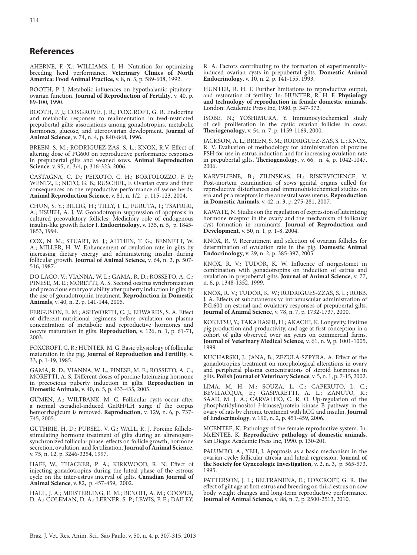## **References**

AHERNE, F. X.; WILLIAMS, I. H. Nutrition for optimizing breeding herd performance. **Veterinary Clinics of North America: Food Animal Practice**, v. 8, n. 3, p. 589-608, 1992.

BOOTH, P. J. Metabolic influences on hypothalamic pituitaryovarian function. **Journal of Reproduction of Fertility**, v. 40, p. 89-100, 1990.

BOOTH, P. J.; COSGROVE, J. R.; FOXCROFT, G. R. Endocrine and metabolic responses to realimentation in feed-restricted prepubertal gilts: associations among gonadotropins, metabolic hormones, glucose, and uteroovarian development. **Journal of Animal Science**, v. 74, n. 4, p. 840-848, 1996.

BREEN, S. M.; RODRIGUEZ-ZAS, S. L.; KNOX, R.V. Effect of altering dose of PG600 on reproductive performance responses in prepubertal gilts and weaned sows. **Animal Reproduction Science**, v. 95, n. 3/4, p. 316-323, 2006.

CASTAGNA, C. D.; PEIXOTO, C. H.; BORTOLOZZO, F. P.; WENTZ, I.; NETO, G. B.; RUSCHEL, F. Ovarian cysts and their consequences on the reproductive performance of swine herds. **Animal Reproduction Science**, v. 81, n. 1/2, p. 115-123, 2004.

CHUN, S. Y.; BILLIG, H.; TILLY, J. L.; FURUTA, I.; TSAFRIRI, A.; HSUEH, A. J. W. Gonadotropin suppression of apoptosis in cultured preovulatory follicles: Mediatory role of endogenous insulin-like growth factor I. **Endocrinology**, v. 135, n. 5, p. 1845- 1853, 1994.

COX, N. M.; STUART, M. J.; ALTHEN, T. G.; BENNETT, W. A.; MILLER, H. W. Enhancement of ovulation rate in gilts by increasing dietary energy and administering insulin during follicular growth. **Journal of Animal Science**, v. 64, n. 2, p. 507- 516, 1987.

DO LAGO, V.; VIANNA, W. L.; GAMA, R. D.; ROSSETO, A. C.; PINESE, M. E.; MORETTI, A. S. Second oestrus synchronization and precocious embryo viability after puberty induction in gilts by the use of gonadotrophin treatment. **Reproduction in Domestic Animals**, v. 40, n. 2, p. 141-144, 2005.

FERGUSON, E. M.; ASHWORTH, C. J.; EDWARDS, S. A. Effect of different nutritional regimens before ovulation on plasma concentration of metabolic and reproductive hormones and oocyte maturation in gilts. **Reproduction**, v. 126, n. 1, p. 61-71, 2003.

FOXCROFT, G. R.; HUNTER, M. G. Basic physiology of follicular maturation in the pig. **Journal of Reproduction and Fertility**, v. 33, p. 1-19, 1985.

GAMA, R. D.; VIANNA, W. L.; PINESE, M. E.; ROSSETO, A. C.; MORETTI, A. S. Different doses of porcine luteinizing hormone in precocious puberty induction in gilts. **Reproduction in Domestic Animals**, v. 40, n. 5, p. 433-435, 2005.

GÜMEN, A.; WILTBANK, M. C. Follicular cysts occur after a normal estradiol-induced GnRH/LH surge if the corpus hemorrhagicum is removed. **Reproduction**, v. 129, n. 6, p. 737- 745, 2005.

GUTHRIE, H. D.; PURSEL, V. G.; WALL, R. J. Porcine folliclestimulating hormone treatment of gilts during an altrenogestsynchronized follicular phase: effects on follicle growth, hormone secretion, ovulation, and fertilization. **Journal of Animal Science**, v. 75, n. 12, p. 3246-3254, 1997.

HAFF, W.; THACKER, P. A.; KIRKWOOD, R. N. Effect of injecting gonadotropins during the luteal phase of the estrous cycle on the inter-estrus interval of gilts. **Canadian Journal of Animal Science**, v. 82, p. 457-459, 2002.

HALL, J. A.; MEISTERLING, E. M.; BENOIT, A. M.; COOPER, D. A.; COLEMAN, D. A.; LERNER, S. P.; LEWIS, P. E.; DAILEY,

R. A. Factors contributing to the formation of experimentallyinduced ovarian cysts in prepubertal gilts. **Domestic Animal Endocrinology**, v. 10, n. 2, p. 141-155, 1993.

HUNTER, R. H. F. Further limitations to reproductive output, and restoration of fertility. In: HUNTER, R. H. F. **Physiology and technology of reproduction in female domestic animals**. London: Academic Press Inc, 1980. p. 347-372.

ISOBE, N.; YOSHIMURA, Y. Immunocytochemical study of cell proliferation in the cystic ovarian follicles in cows. **Theriogenology**, v. 54, n. 7, p. 1159-1169, 2000.

JACKSON, A. L.; BREEN, S. M.; RODRIGUEZ-ZAS, S. L.; KNOX, R. V. Evaluation of methodology for administration of porcine FSH for use in estrus induction and for increasing ovulation rate in prepubertal gilts. **Theriogenology**, v. 66, n. 4, p. 1042-1047, 2006.

KARVELIENE, B.; ZILINSKAS, H.; RISKEVICIENCE, V. Post-mortem examination of sows genital organs culled for reproductive disturbances and immunohistochemical studies on erα and pr a receptors in the anoestral sows uterus. **Reproduction in Domestic Animals**, v. 42, n. 3, p. 275-281, 2007.

KAWATE, N. Studies on the regulation of expression of luteinizing hormone receptor in the ovary and the mechanism of follicular cyst formation in ruminants. **Journal of Reproduction and Development**, v. 50, n. 1, p. 1-8, 2004.

KNOX, R. V. Recruitment and selection of ovarian follicles for determination of ovulation rate in the pig. **Domestic Animal Endocrinology**, v. 29, n. 2, p. 385-397, 2005.

KNOX, R. V.; TUDOR, K. W. Influence of norgestomet in combination with gonadotropins on induction of estrus and ovulation in prepubertal gilts. **Journal of Animal Science**, v. 77, n. 6, p. 1348-1352, 1999.

KNOX, R. V.; TUDOR, K. W.; RODRIGUES-ZZAS, S. L.; ROBB, J. A. Effects of subcutaneous vc intramuscular administration of P.G.600 on estrual and ovulatory responses of prepubertal gilts. **Journal of Animal Science**, v. 78, n. 7, p. 1732-1737, 2000.

KOKETSU, Y.; TAKAHASHI, H.; AKACHI, K. Longevity, lifetime pig production and productivity, and age at first conception in a cohort of gilts observed over six years on commercial farms. **Journal of Veterinary Medical Science**, v. 61, n. 9, p. 1001-1005, 1999.

KUCHARSKI, J.; JANA, B.; ZEZULA-SZPYRA, A. Effect of the gonadotropins treatment on morphological alterations in ovary and peripheral plasma concentrations of steroid hormones in gilts. **Polish Journal of Veterinary Science**, v. 5, n. 1, p. 7-15, 2002.

LIMA, M. H. M.; SOUZA, L. C.; CAPERUTO, L. C.; BEVILACQUA, E.; GASPARETTI, A. L.; ZANUTO, R.; SAAD, M. J. A.; CARVALHO, C. R. O. Up-regulation of the phosphatidylinositol 3-kinase/protein kinase B pathway in the ovary of rats by chronic treatment with hCG and insulin. **Journal of Endocrinology**, v. 190, n. 2, p. 451-459, 2006.

MCENTEE, K. Pathology of the female reproductive system. In. McENTEE, K. **Reproductive pathology of domestic animals**. San Diego: Academic Press Inc, 1990. p. 130-201.

PALUMBO, A.; YEH, J. Apoptosis as a basic mechanism in the ovarian cycle: follicular atresia and luteal regression. **Journal of the Society for Gynecologic Investigation**, v. 2, n. 3, p. 565-573, 1995.

PATTERSON, J. L.; BELTRANENA, E.; FOXCROFT, G. R. The effect of gilt age at first estrus and breeding on third estrus on sow body weight changes and long-term reproductive performance. **Journal of Animal Science**, v. 88, n. 7, p. 2500-2513, 2010.